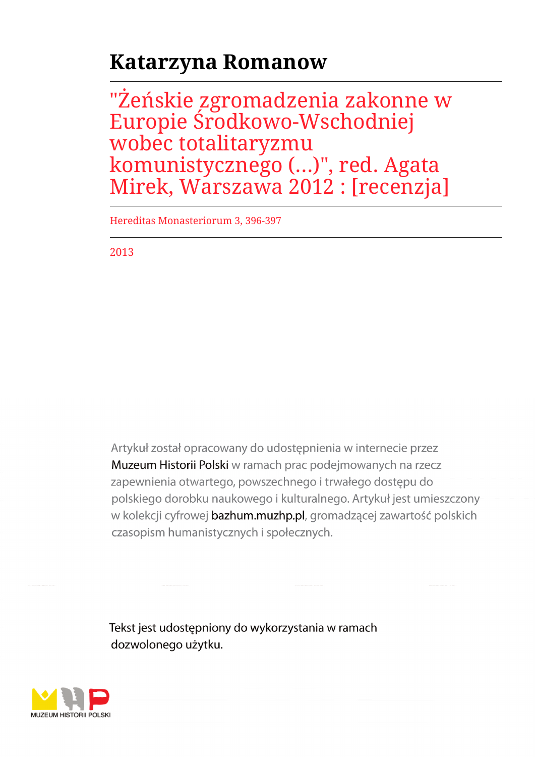## **Katarzyna Romanow**

"Żeńskie zgromadzenia zakonne w Europie Środkowo-Wschodniej wobec totalitaryzmu komunistycznego (...)", red. Agata Mirek, Warszawa 2012 : [recenzja]

Hereditas Monasteriorum 3, 396-397

2013

Artykuł został opracowany do udostępnienia w internecie przez Muzeum Historii Polski w ramach prac podejmowanych na rzecz zapewnienia otwartego, powszechnego i trwałego dostępu do polskiego dorobku naukowego i kulturalnego. Artykuł jest umieszczony w kolekcji cyfrowej bazhum.muzhp.pl, gromadzącej zawartość polskich czasopism humanistycznych i społecznych.

Tekst jest udostępniony do wykorzystania w ramach dozwolonego użytku.

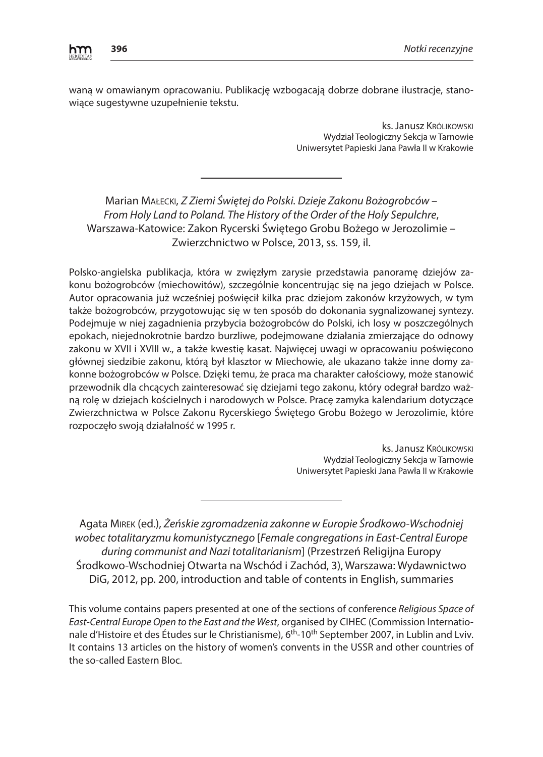

waną w omawianym opracowaniu. Publikację wzbogacają dobrze dobrane ilustracje, stanowiące sugestywne uzupełnienie tekstu.

> ks. Janusz Królikowski Wydział Teologiczny Sekcja w Tarnowie Uniwersytet Papieski Jana Pawła II w Krakowie

## Marian Małecki, *Z Ziemi Świętej do Polski. Dzieje Zakonu Bożogrobców – From Holy Land to Poland. The History of the Order of the Holy Sepulchre*, Warszawa-Katowice: Zakon Rycerski Świętego Grobu Bożego w Jerozolimie – Zwierzchnictwo w Polsce, 2013, ss. 159, il.

Polsko-angielska publikacja, która w zwięzłym zarysie przedstawia panoramę dziejów zakonu bożogrobców (miechowitów), szczególnie koncentrując się na jego dziejach w Polsce. Autor opracowania już wcześniej poświęcił kilka prac dziejom zakonów krzyżowych, w tym także bożogrobców, przygotowując się w ten sposób do dokonania sygnalizowanej syntezy. Podejmuje w niej zagadnienia przybycia bożogrobców do Polski, ich losy w poszczególnych epokach, niejednokrotnie bardzo burzliwe, podejmowane działania zmierzające do odnowy zakonu w XVII i XVIII w., a także kwestię kasat. Najwięcej uwagi w opracowaniu poświęcono głównej siedzibie zakonu, którą był klasztor w Miechowie, ale ukazano także inne domy zakonne bożogrobców w Polsce. Dzięki temu, że praca ma charakter całościowy, może stanowić przewodnik dla chcących zainteresować się dziejami tego zakonu, który odegrał bardzo ważną rolę w dziejach kościelnych i narodowych w Polsce. Pracę zamyka kalendarium dotyczące Zwierzchnictwa w Polsce Zakonu Rycerskiego Świętego Grobu Bożego w Jerozolimie, które rozpoczęło swoją działalność w 1995 r.

> ks. Janusz Królikowski Wydział Teologiczny Sekcja w Tarnowie Uniwersytet Papieski Jana Pawła II w Krakowie

Agata Mirek (ed.), *Żeńskie zgromadzenia zakonne w Europie Środkowo-Wschodniej wobec totalitaryzmu komunistycznego* [*Female congregations in East-Central Europe during communist and Nazi totalitarianism*] (Przestrzeń Religijna Europy Środkowo-Wschodniej Otwarta na Wschód i Zachód, 3), Warszawa: Wydawnictwo DiG, 2012, pp. 200, introduction and table of contents in English, summaries

This volume contains papers presented at one of the sections of conference *Religious Space of East-Central Europe Open to the East and the West*, organised by CIHEC (Commission Internationale d'Histoire et des Études sur le Christianisme), 6<sup>th</sup>-10<sup>th</sup> September 2007, in Lublin and Lviv. It contains 13 articles on the history of women's convents in the USSR and other countries of the so-called Eastern Bloc.